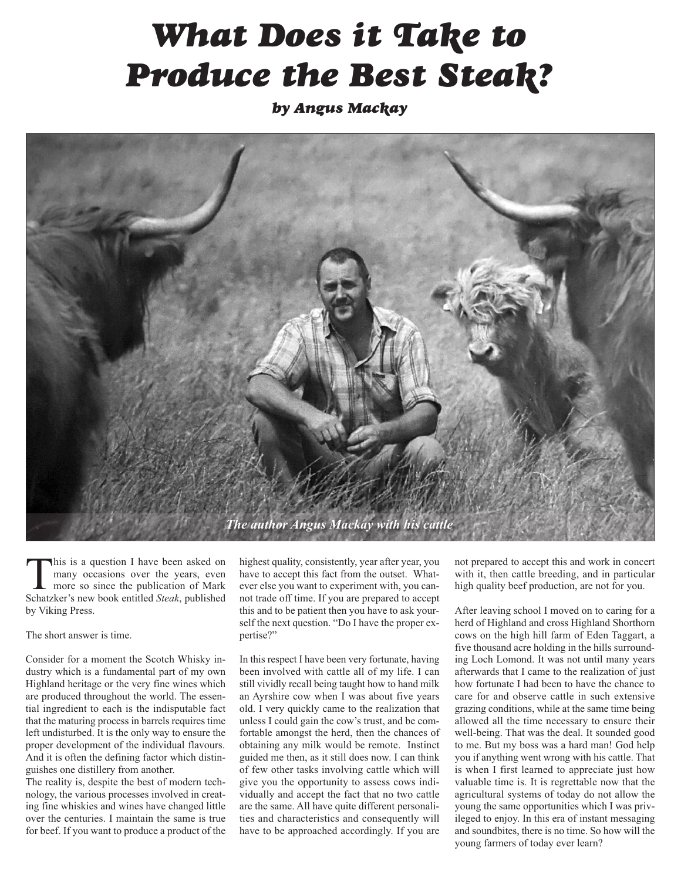## *What Does it Take to Produce the Best Steak?*

*by Angus Mackay*



This is a question I have been asked on many occasions over the years, even more so since the publication of Mark Schatzker's new book entitled *Steak*, published by Viking Press.

The short answer is time.

Consider for a moment the Scotch Whisky industry which is a fundamental part of my own Highland heritage or the very fine wines which are produced throughout the world. The essential ingredient to each is the indisputable fact that the maturing process in barrels requires time left undisturbed. It is the only way to ensure the proper development of the individual flavours. And it is often the defining factor which distinguishes one distillery from another.

The reality is, despite the best of modern technology, the various processes involved in creating fine whiskies and wines have changed little over the centuries. I maintain the same is true for beef. If you want to produce a product of the

highest quality, consistently, year after year, you have to accept this fact from the outset. Whatever else you want to experiment with, you cannot trade off time. If you are prepared to accept this and to be patient then you have to ask yourself the next question. "Do I have the proper expertise?"

In this respect I have been very fortunate, having been involved with cattle all of my life. I can still vividly recall being taught how to hand milk an Ayrshire cow when I was about five years old. I very quickly came to the realization that unless I could gain the cow's trust, and be comfortable amongst the herd, then the chances of obtaining any milk would be remote. Instinct guided me then, as it still does now. I can think of few other tasks involving cattle which will give you the opportunity to assess cows individually and accept the fact that no two cattle are the same. All have quite different personalities and characteristics and consequently will have to be approached accordingly. If you are

not prepared to accept this and work in concert with it, then cattle breeding, and in particular high quality beef production, are not for you.

After leaving school I moved on to caring for a herd of Highland and cross Highland Shorthorn cows on the high hill farm of Eden Taggart, a five thousand acre holding in the hills surrounding Loch Lomond. It was not until many years afterwards that I came to the realization of just how fortunate I had been to have the chance to care for and observe cattle in such extensive grazing conditions, while at the same time being allowed all the time necessary to ensure their well-being. That was the deal. It sounded good to me. But my boss was a hard man! God help you if anything went wrong with his cattle. That is when I first learned to appreciate just how valuable time is. It is regrettable now that the agricultural systems of today do not allow the young the same opportunities which I was privileged to enjoy. In this era of instant messaging and soundbites, there is no time. So how will the young farmers of today ever learn?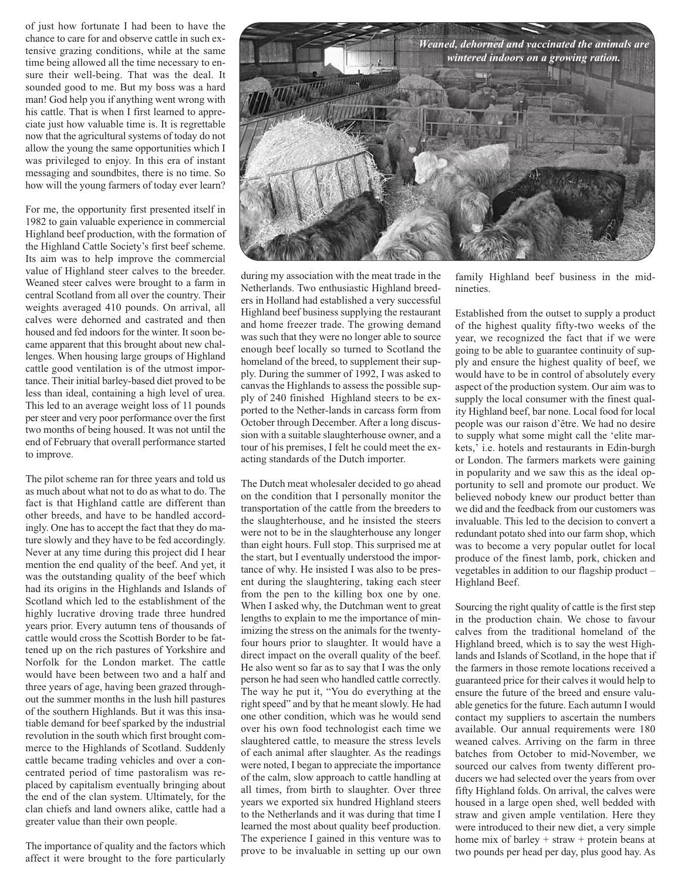of just how fortunate I had been to have the chance to care for and observe cattle in such extensive grazing conditions, while at the same time being allowed all the time necessary to ensure their well-being. That was the deal. It sounded good to me. But my boss was a hard man! God help you if anything went wrong with his cattle. That is when I first learned to appreciate just how valuable time is. It is regrettable now that the agricultural systems of today do not allow the young the same opportunities which I was privileged to enjoy. In this era of instant messaging and soundbites, there is no time. So how will the young farmers of today ever learn?

For me, the opportunity first presented itself in 1982 to gain valuable experience in commercial Highland beef production, with the formation of the Highland Cattle Society's first beef scheme. Its aim was to help improve the commercial value of Highland steer calves to the breeder. Weaned steer calves were brought to a farm in central Scotland from all over the country. Their weights averaged 410 pounds. On arrival, all calves were dehorned and castrated and then housed and fed indoors for the winter. It soon became apparent that this brought about new challenges. When housing large groups of Highland cattle good ventilation is of the utmost importance. Their initial barley-based diet proved to be less than ideal, containing a high level of urea. This led to an average weight loss of 11 pounds persteer and very poor performance over the first two months of being housed. It was not until the end of February that overall performance started to improve.

The pilot scheme ran for three years and told us as much about what not to do as what to do. The fact is that Highland cattle are different than other breeds, and have to be handled accordingly. One has to accept the fact that they do mature slowly and they have to be fed accordingly. Never at any time during this project did I hear mention the end quality of the beef. And yet, it was the outstanding quality of the beef which had its origins in the Highlands and Islands of Scotland which led to the establishment of the highly lucrative droving trade three hundred years prior. Every autumn tens of thousands of cattle would cross the Scottish Border to be fattened up on the rich pastures of Yorkshire and Norfolk for the London market. The cattle would have been between two and a half and three years of age, having been grazed throughout the summer months in the lush hill pastures of the southern Highlands. But it was this insatiable demand for beef sparked by the industrial revolution in the south which first brought commerce to the Highlands of Scotland. Suddenly cattle became trading vehicles and over a concentrated period of time pastoralism was replaced by capitalism eventually bringing about the end of the clan system. Ultimately, for the clan chiefs and land owners alike, cattle had a greater value than their own people.

The importance of quality and the factors which affect it were brought to the fore particularly



during my association with the meat trade in the Netherlands. Two enthusiastic Highland breeders in Holland had established a very successful Highland beef business supplying the restaurant and home freezer trade. The growing demand was such that they were no longer able to source enough beef locally so turned to Scotland the homeland of the breed, to supplement their supply. During the summer of 1992, I was asked to canvas the Highlands to assess the possible supply of 240 finished Highland steers to be exported to the Nether-lands in carcass form from October through December. After a long discussion with a suitable slaughterhouse owner, and a tour of his premises, I felt he could meet the exacting standards of the Dutch importer.

The Dutch meat wholesaler decided to go ahead on the condition that I personally monitor the transportation of the cattle from the breeders to the slaughterhouse, and he insisted the steers were not to be in the slaughterhouse any longer than eight hours. Full stop. This surprised me at the start, but I eventually understood the importance of why. He insisted I was also to be present during the slaughtering, taking each steer from the pen to the killing box one by one. When I asked why, the Dutchman went to great lengths to explain to me the importance of minimizing the stress on the animals for the twentyfour hours prior to slaughter. It would have a direct impact on the overall quality of the beef. He also went so far as to say that I was the only person he had seen who handled cattle correctly. The way he put it, "You do everything at the right speed" and by that he meant slowly. He had one other condition, which was he would send over his own food technologist each time we slaughtered cattle, to measure the stress levels of each animal after slaughter. As the readings were noted, I began to appreciate the importance of the calm, slow approach to cattle handling at all times, from birth to slaughter. Over three years we exported six hundred Highland steers to the Netherlands and it was during that time I learned the most about quality beef production. The experience I gained in this venture was to prove to be invaluable in setting up our own

family Highland beef business in the midnineties.

Established from the outset to supply a product of the highest quality fifty-two weeks of the year, we recognized the fact that if we were going to be able to guarantee continuity of supply and ensure the highest quality of beef, we would have to be in control of absolutely every aspect of the production system. Our aim was to supply the local consumer with the finest quality Highland beef, bar none. Local food for local people was our raison d'être. We had no desire to supply what some might call the 'elite markets,' i.e. hotels and restaurants in Edin-burgh or London. The farmers markets were gaining in popularity and we saw this as the ideal opportunity to sell and promote our product. We believed nobody knew our product better than we did and the feedback from our customers was invaluable. This led to the decision to convert a redundant potato shed into our farm shop, which was to become a very popular outlet for local produce of the finest lamb, pork, chicken and vegetables in addition to our flagship product – Highland Beef.

Sourcing the right quality of cattle is the first step in the production chain. We chose to favour calves from the traditional homeland of the Highland breed, which is to say the west Highlands and Islands of Scotland, in the hope that if the farmers in those remote locations received a guaranteed price for their calves it would help to ensure the future of the breed and ensure valuable genetics for the future. Each autumn I would contact my suppliers to ascertain the numbers available. Our annual requirements were 180 weaned calves. Arriving on the farm in three batches from October to mid-November, we sourced our calves from twenty different producers we had selected over the years from over fifty Highland folds. On arrival, the calves were housed in a large open shed, well bedded with straw and given ample ventilation. Here they were introduced to their new diet, a very simple home mix of barley + straw + protein beans at two pounds per head per day, plus good hay. As